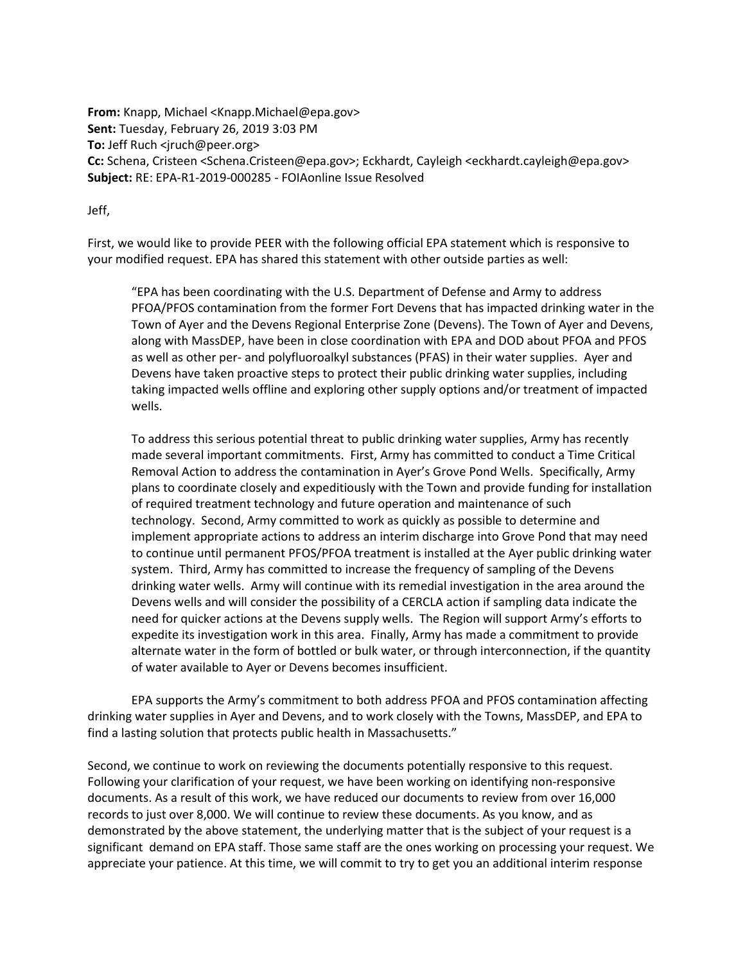**From:** Knapp, Michael <Knapp.Michael@epa.gov> **Sent:** Tuesday, February 26, 2019 3:03 PM **To:** Jeff Ruch <jruch@peer.org> **Cc:** Schena, Cristeen <Schena.Cristeen@epa.gov>; Eckhardt, Cayleigh <eckhardt.cayleigh@epa.gov> **Subject:** RE: EPA-R1-2019-000285 - FOIAonline Issue Resolved

Jeff,

First, we would like to provide PEER with the following official EPA statement which is responsive to your modified request. EPA has shared this statement with other outside parties as well:

"EPA has been coordinating with the U.S. Department of Defense and Army to address PFOA/PFOS contamination from the former Fort Devens that has impacted drinking water in the Town of Ayer and the Devens Regional Enterprise Zone (Devens). The Town of Ayer and Devens, along with MassDEP, have been in close coordination with EPA and DOD about PFOA and PFOS as well as other per- and polyfluoroalkyl substances (PFAS) in their water supplies. Ayer and Devens have taken proactive steps to protect their public drinking water supplies, including taking impacted wells offline and exploring other supply options and/or treatment of impacted wells.

To address this serious potential threat to public drinking water supplies, Army has recently made several important commitments. First, Army has committed to conduct a Time Critical Removal Action to address the contamination in Ayer's Grove Pond Wells. Specifically, Army plans to coordinate closely and expeditiously with the Town and provide funding for installation of required treatment technology and future operation and maintenance of such technology. Second, Army committed to work as quickly as possible to determine and implement appropriate actions to address an interim discharge into Grove Pond that may need to continue until permanent PFOS/PFOA treatment is installed at the Ayer public drinking water system. Third, Army has committed to increase the frequency of sampling of the Devens drinking water wells. Army will continue with its remedial investigation in the area around the Devens wells and will consider the possibility of a CERCLA action if sampling data indicate the need for quicker actions at the Devens supply wells. The Region will support Army's efforts to expedite its investigation work in this area. Finally, Army has made a commitment to provide alternate water in the form of bottled or bulk water, or through interconnection, if the quantity of water available to Ayer or Devens becomes insufficient.

EPA supports the Army's commitment to both address PFOA and PFOS contamination affecting drinking water supplies in Ayer and Devens, and to work closely with the Towns, MassDEP, and EPA to find a lasting solution that protects public health in Massachusetts."

Second, we continue to work on reviewing the documents potentially responsive to this request. Following your clarification of your request, we have been working on identifying non-responsive documents. As a result of this work, we have reduced our documents to review from over 16,000 records to just over 8,000. We will continue to review these documents. As you know, and as demonstrated by the above statement, the underlying matter that is the subject of your request is a significant demand on EPA staff. Those same staff are the ones working on processing your request. We appreciate your patience. At this time, we will commit to try to get you an additional interim response